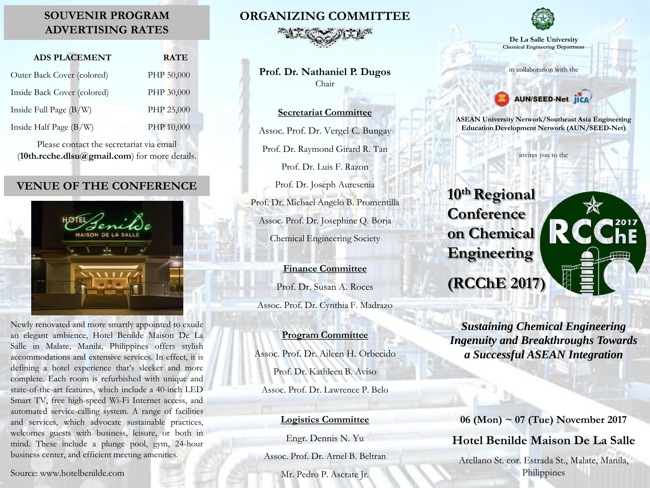### **SOUVENIR PROGRAM ADVERTISING RATES**

| <b>ADS PLACEMENT</b>        | <b>RATE</b> |
|-----------------------------|-------------|
| Outer Back Cover (colored)  | PHP 50,000  |
| Inside Back Cover (colored) | PHP 30,000  |
| Inside Full Page (B/W)      | PHP 25,000  |
| Inside Half Page (B/W)      | PHP 10,000  |

Please contact the secretariat via email (**10th.rcche.dlsu@gmail.com**) for more details.

#### **VENUE OF THE CONFERENCE**



Newly renovated and more smartly appointed to exude an elegant ambience, Hotel Benilde Maison De La Salle in Malate, Manila, Philippines offers stylish accommodations and extensive services. In effect, it is defining a hotel experience that's sleeker and more complete. Each room is refurbished with unique and state-of-the-art features, which include a 40-inch LED Smart TV, free high-speed Wi-Fi Internet access, and automated service-calling system. A range of facilities and services, which advocate sustainable practices, welcomes guests with business, leisure, or both in mind. These include a plunge pool, gym, 24-hour business center, and efficient meeting amenities.

**ORGANIZING COMMITTEE**



**Prof. Dr. Nathaniel P. Dugos** Chair

#### **Secretariat Committee**

Assoc. Prof. Dr. Vergel C. Bungay Prof. Dr. Raymond Girard R. Tan Prof. Dr. Luis F. Razon

Prof. Dr. Joseph Auresenia Prof. Dr. Michael Angelo B. Promentilla Assoc. Prof. Dr. Josephine Q. Borja Chemical Engineering Society

**Finance Committee** Prof. Dr. Susan A. Roces Assoc. Prof. Dr. Cynthia F. Madrazo

#### **Program Committee**

Assoc. Prof. Dr. Aileen H. Orbecido Prof. Dr. Kathleen B. Aviso Assoc. Prof. Dr. Lawrence P. Belo

#### **Logistics Committee**

Engr. Dennis N. Yu

Assoc. Prof. Dr. Arnel B. Beltran

Mr. Pedro P. Ascrate Jr.



**De La Salle University Chemical Engineering Department**

in collaboration with the



**ASEAN University Network/Southeast Asia Engineering Education Development Network (AUN/SEED-Net)**

invites you to the

**10th Regional Conference on Chemical Engineering (RCChE 2017)**



*Sustaining Chemical Engineering Ingenuity and Breakthroughs Towards a Successful ASEAN Integration*

**06 (Mon) ~ 07 (Tue) November 2017 Hotel Benilde Maison De La Salle** Arellano St. cor. Estrada St., Malate, Manila, Philippines

Source: www.hotelbenilde.com